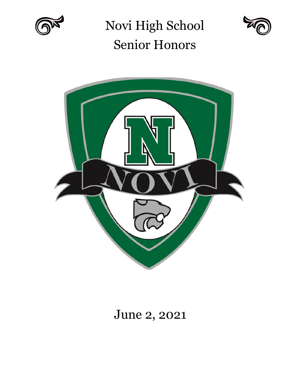

Novi High School Senior Honors





# June 2, 2021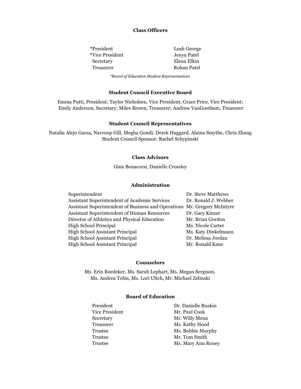#### **Class Officers**

| *President_     | Leah George |
|-----------------|-------------|
| *Vice President | Jenya Patel |
| Secretary       | Elena Elkin |
| Treasurer       | Rohan Patel |
|                 |             |

*\*Board of Education Student Representatives*

#### **Student Council Executive Board**

Emma Putti, President; Taylor Nicholsen, Vice President; Grace Price, Vice President; Emily Anderson, Secretary; Miles Brown, Treasurer; Andrew VanGoethem, Treasurer

#### **Student Council Representatives**

Natalia Alejo Garza, Navroop Gill, Megha Gondi, Derek Haggard, Alaina Smythe, Chris Zhang Student Council Sponsor: Rachel Schypinski

#### **Class Advisors**

Gina Bonacorsi, Danielle Crossley

#### **Administration**

| Superintendent                                                           | Dr. Steve Matthews   |
|--------------------------------------------------------------------------|----------------------|
| Assistant Superintendent of Academic Services                            | Dr. Ronald J. Webber |
| Assistant Superintendent of Business and Operations Mr. Gregory McIntyre |                      |
| Assistant Superintendent of Human Resources                              | Dr. Gary Kinzer      |
| Director of Athletics and Physical Education                             | Mr. Brian Gordon     |
| <b>High School Principal</b>                                             | Ms. Nicole Carter    |
| <b>High School Assistant Principal</b>                                   | Ms. Katy Dinkelmann  |
| <b>High School Assistant Principal</b>                                   | Dr. Melissa Jordan   |
| <b>High School Assistant Principal</b>                                   | Mr. Ronald Kane      |
|                                                                          |                      |

#### **Counselors**

 Ms. Erin Boedeker, Ms. Sarah Lephart, Ms. Megan Sergison, Ms. Andrea Tobis, Ms. Lori Ultch, Mr. Michael Zelinski

#### **Board of Education**

| President      | Dr. Danielle Ruskin |
|----------------|---------------------|
| Vice President | Mr. Paul Cook       |
| Secretary      | Mr. Willy Mena      |
| Treasurer      | Ms. Kathy Hood      |
| Trustee        | Ms. Bobbie Murphy   |
| Trustee        | Mr. Tom Smith       |
| Trustee        | Ms. Mary Ann Roney  |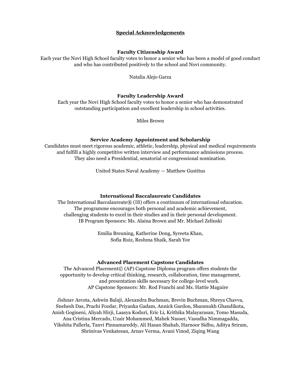#### **Special Acknowledgements**

#### **Faculty Citizenship Award**

Each year the Novi High School faculty votes to honor a senior who has been a model of good conduct and who has contributed positively to the school and Novi community.

Natalia Alejo Garza

#### **Faculty Leadership Award**

Each year the Novi High School faculty votes to honor a senior who has demonstrated outstanding participation and excellent leadership in school activities.

Miles Brown

#### **Service Academy Appointment and Scholarship**

Candidates must meet rigorous academic, athletic, leadership, physical and medical requirements and fulfill a highly competitive written interview and performance admissions process. They also need a Presidential, senatorial or congressional nomination.

United States Naval Academy — Matthew Gustitus

#### **International Baccalaureate Candidates**

The International Baccalaureate® (IB) offers a continuum of international education. The programme encourages both personal and academic achievement, challenging students to excel in their studies and in their personal development. IB Program Sponsors: Ms. Alaina Brown and Mr. Michael Zelinski

> Emilia Breuning, Katherine Dong, Syreeta Khan, Sofia Ruiz, Reshma Shaik, Sarah Yee

#### **Advanced Placement Capstone Candidates**

The Advanced Placement© (AP) Capstone Diploma program offers students the opportunity to develop critical thinking, research, collaboration, time management, and presentation skills necessary for college-level work. AP Capstone Sponsors: Mr. Rod Franchi and Ms. Hattie Maguire

Jishnav Arcota, Ashwin Balaji, Alexandra Buchman, Brevin Buchman, Shreya Chavva, Snehesh Das, Prachi Fozdar, Priyanka Gadam, Annick Gardon, Shanmukh Ghandikota, Anish Gogineni, Aliyah Hirji, Laasya Koduri, Eric Li, Krithika Malayarasan, Tomo Masuda, Ana Cristina Mercado, Uzair Mohammed, Mahek Nasser, Vasudha Nimmagadda, Vikshita Pallerla, Tanvi Pinnamareddy, Ali Hasan Shahab, Harnoor Sidhu, Aditya Sriram, Shrinivas Venkatesan, Arnav Verma, Avani Vinod, Ziqing Wang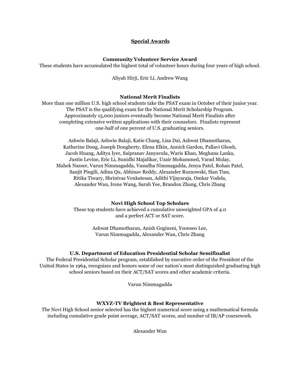#### **Special Awards**

#### **Community Volunteer Service Award**

These students have accumulated the highest total of volunteer hours during four years of high school.

Aliyah Hirji, Eric Li, Andrew Wang

#### **National Merit Finalists**

More than one million U.S. high school students take the PSAT exam in October of their junior year. The PSAT is the qualifying exam for the National Merit Scholarship Program. Approximately 15,000 juniors eventually become National Merit Finalists after completing extensive written applications with their counselors. Finalists represent one-half of one percent of U.S. graduating seniors.

Ashwin Balaji, Ashwin Balaji, Katie Chang, Lisa Dai, Ashwat Dhamotharan, Katherine Dong, Joseph Dougherty, Elena Elkin, Annick Gardon, Pallavi Ghosh, Jacob Huang, Aditya Iyer, Saipranav Janyavula, Waris Khan, Meghana Lanka, Justin Levine, Eric Li, Sunidhi Majalikar, Uzair Mohammed, Varad Mulay, Mahek Nasser, Varun Nimmagadda, Vasudha Nimmagadda, Jenya Patel, Rohan Patel, Sanjit Pingili, Adina Qu, Abhinav Reddy, Alexander Roznowski, Sian Tian, Ritika Tiwary, Shrinivas Venkatesan, Adithi Vijayaraja, Omkar Vodela, Alexander Wan, Irene Wang, Sarah Yee, Brandon Zhang, Chris Zhang

#### **Novi High School Top Scholars**

These top students have achieved a cumulative unweighted GPA of 4.0 and a perfect ACT or SAT score.

> Ashwat Dhamotharan, Anish Gogineni, Yoonseo Lee, Varun Nimmagadda, Alexander Wan, Chris Zhang

#### **U.S. Department of Education Presidential Scholar Semifinalist**

The Federal Presidential Scholar program, established by executive order of the President of the United States in 1964, recognizes and honors some of our nation's most distinguished graduating high school seniors based on their ACT/SAT scores and other academic criteria.

Varun Nimmagadda

#### **WXYZ-TV Brightest & Best Representative**

The Novi High School senior selected has the highest numerical score using a mathematical formula including cumulative grade point average, ACT/SAT scores, and number of IB/AP coursework.

Alexander Wan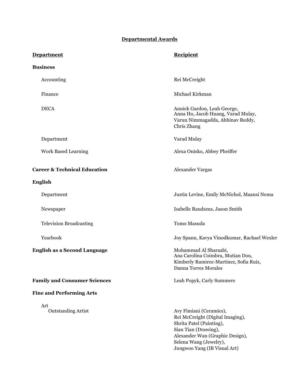# **Departmental Awards**

| <b>Department</b>                       | <b>Recipient</b>                                                                                                                                                                                             |  |  |
|-----------------------------------------|--------------------------------------------------------------------------------------------------------------------------------------------------------------------------------------------------------------|--|--|
| <b>Business</b>                         |                                                                                                                                                                                                              |  |  |
| Accounting                              | Rei McCreight                                                                                                                                                                                                |  |  |
| Finance                                 | Michael Kirkman                                                                                                                                                                                              |  |  |
| <b>DECA</b>                             | Annick Gardon, Leah George,<br>Anna Ho, Jacob Huang, Varad Mulay,<br>Varun Nimmagadda, Abhinav Reddy,<br>Chris Zhang                                                                                         |  |  |
| Department                              | Varad Mulay                                                                                                                                                                                                  |  |  |
| <b>Work Based Learning</b>              | Alexa Onisko, Abbey Pheiffer                                                                                                                                                                                 |  |  |
| <b>Career &amp; Technical Education</b> | Alexander Vargas                                                                                                                                                                                             |  |  |
| <b>English</b>                          |                                                                                                                                                                                                              |  |  |
| Department                              | Justin Levine, Emily McNichol, Maansi Nema                                                                                                                                                                   |  |  |
| Newspaper                               | Isabelle Raudszus, Jason Smith                                                                                                                                                                               |  |  |
| <b>Television Broadcasting</b>          | Tomo Masuda                                                                                                                                                                                                  |  |  |
| Yearbook                                | Joy Spann, Kavya Vinodkumar, Rachael Wexler                                                                                                                                                                  |  |  |
| <b>English as a Second Language</b>     | Mohammad Al Sharaabi,<br>Ana Carolina Coimbra, Mutian Dou,<br>Kimberly Ramirez-Martinez, Sofia Ruiz,<br>Danna Torres Morales                                                                                 |  |  |
| <b>Family and Consumer Sciences</b>     | Leah Popyk, Carly Summers                                                                                                                                                                                    |  |  |
| <b>Fine and Performing Arts</b>         |                                                                                                                                                                                                              |  |  |
| Art<br><b>Outstanding Artist</b>        | Avy Fimiani (Ceramics),<br>Rei McCreight (Digital Imaging),<br>Shrita Patel (Painting),<br>Sian Tian (Drawing),<br>Alexander Wan (Graphic Design),<br>Selena Wang (Jewelry),<br>Jungwoo Yang (IB Visual Art) |  |  |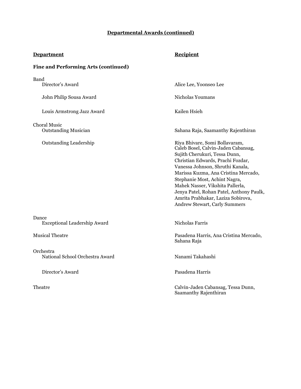# **Departmental Awards (continued)**

# **Department** Recipient

Saamanthy Rajenthiran

# **Fine and Performing Arts (continued)**

| <b>Band</b><br>Director's Award                    | Alice Lee, Yoonseo Lee                                                                                                                                                                                                                                                                                                                                                                                          |
|----------------------------------------------------|-----------------------------------------------------------------------------------------------------------------------------------------------------------------------------------------------------------------------------------------------------------------------------------------------------------------------------------------------------------------------------------------------------------------|
| John Philip Sousa Award                            | Nicholas Youmans                                                                                                                                                                                                                                                                                                                                                                                                |
| Louis Armstrong Jazz Award                         | Kailen Hsieh                                                                                                                                                                                                                                                                                                                                                                                                    |
| <b>Choral Music</b><br><b>Outstanding Musician</b> | Sahana Raja, Saamanthy Rajenthiran                                                                                                                                                                                                                                                                                                                                                                              |
| <b>Outstanding Leadership</b>                      | Riya Bhivare, Somi Bollavaram,<br>Caleb Bosel, Calvin-Jaden Cabansag,<br>Sujith Cherukuri, Tessa Dunn,<br>Christian Edwards, Prachi Fozdar,<br>Vanessa Johnson, Shruthi Kanala,<br>Marissa Kuzma, Ana Cristina Mercado,<br>Stephanie Most, Achint Nagra,<br>Mahek Nasser, Vikshita Pallerla,<br>Jenya Patel, Rohan Patel, Anthony Paulk,<br>Amrita Prabhakar, Laziza Sobirova,<br>Andrew Stewart, Carly Summers |
| Dance<br><b>Exceptional Leadership Award</b>       | Nicholas Farris                                                                                                                                                                                                                                                                                                                                                                                                 |
| <b>Musical Theatre</b>                             | Pasadena Harris, Ana Cristina Mercado,<br>Sahana Raja                                                                                                                                                                                                                                                                                                                                                           |
| Orchestra<br>National School Orchestra Award       | Nanami Takahashi                                                                                                                                                                                                                                                                                                                                                                                                |
| Director's Award                                   | Pasadena Harris                                                                                                                                                                                                                                                                                                                                                                                                 |
| Theatre                                            | Calvin-Jaden Cabansag, Tessa Dunn,                                                                                                                                                                                                                                                                                                                                                                              |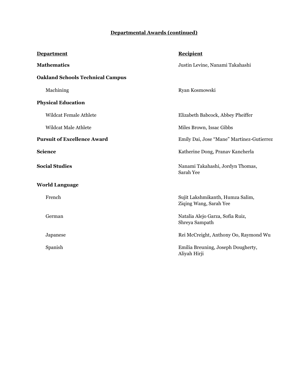## **Departmental Awards (continued)**

| <b>Department</b>                       | <b>Recipient</b>                                           |  |
|-----------------------------------------|------------------------------------------------------------|--|
| <b>Mathematics</b>                      | Justin Levine, Nanami Takahashi                            |  |
| <b>Oakland Schools Technical Campus</b> |                                                            |  |
| Machining                               | Ryan Kosmowski                                             |  |
| <b>Physical Education</b>               |                                                            |  |
| <b>Wildcat Female Athlete</b>           | Elizabeth Babcock, Abbey Pheiffer                          |  |
| <b>Wildcat Male Athlete</b>             | Miles Brown, Issac Gibbs                                   |  |
| <b>Pursuit of Excellence Award</b>      | Emily Dai, Jose "Mane" Martinez-Gutierrez                  |  |
| <b>Science</b>                          | Katherine Dong, Pranav Kancherla                           |  |
| <b>Social Studies</b>                   | Nanami Takahashi, Jordyn Thomas,<br>Sarah Yee              |  |
| <b>World Language</b>                   |                                                            |  |
| French                                  | Sujit Lakshmikanth, Humza Salim,<br>Ziqing Wang, Sarah Yee |  |
| German                                  | Natalia Alejo Garza, Sofia Ruiz,<br>Shreya Sampath         |  |
| Japanese                                | Rei McCreight, Anthony Oo, Raymond Wu                      |  |
| Spanish                                 | Emilia Breuning, Joseph Dougherty,<br>Aliyah Hirji         |  |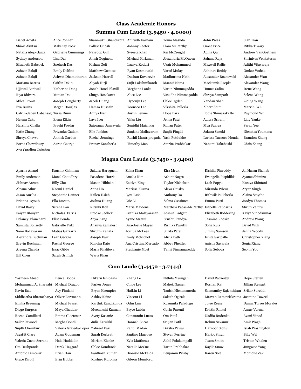#### **Class Academic Honors**

#### **Summa Cum Laude (3.9450 - 4.0000)**

Isabel Acosta Alice Conner Shanmukh Ghandikota Anirudh Karnam Tomo Masuda John Press Sian Tian Shiori Akutsu Makenzy Cook Pallavi Ghosh Johnny Keeter Liam McCarthy Grace Price Ritika Tiwary Natalia Alejo Garza Gabrielle Cummings Navroop Gill Syreeta Khan Rei McCreight Adina Qu Andrew VanGoethem Sydney Anderson Lisa Dai Anish Gogineni Michael Kirkman Alexandria McQueen Sahana Raja Shrinivas Venkatesan Elizabeth Babcock Snehesh Das Kishan Goli Laasya Koduri Uzair Mohammed Maxwell Rallis Adithi Vijayaraja Ashwin Balaji Emily Delfino Matthew Gustitus Ryan Kosmowski Varad Mulay Abhinav Reddy Omkar Vodela Ashwin Balaji Ashwat Dhamotharan Jackson Harrell Dushan Kovacevic Madhurima Nath Alexander Roznowski Alexander Wan Mariana Barros Caitlin Dolin Aliyah Hirji Sujit Lakshmikanth Maansi Nema Mackenzie Rzepka Alexander Wang Ujjawal Beniwal Katherine Dong Jonah Hood-Blaxill Meghana Lanka Varun Nimmagadda Humza Salim Irene Wang Riya Bhivare Mutian Dou Shugo Hosokawa Alice Lee Vasudha Nimmagadda Shreya Sampath Selena Wang Miles Brown Joseph Dougherty Jacob Huang Hyeonju Lee Chloe Ogden Vandan Shah Ziqing Wang Eva Burns Megan Douglas Hamza Hussain Yoonseo Lee Vikshita Pallerla Albert Shim Marvin Wu Calvin-Jaden Cabansag Tessa Dunn Aditya Iyer Justin Levine Hope Park Eddie Shimazaki Ito Raymond Wu Helena Cako Elena Elkin Laya Iyer Yifan Liu Jenya Patel Aditya Sriram Lilly Yanke Harshita Challa Prachi Fozdar Saipranav Janyavula Sunidhi Majalikar Rohan Patel Mya Suarez Sarah Yee Katie Chang Priyanka Gadam Elle Jenkins Sanjana Mallavaram Sanjit Pingili Sakura Suzuki Nicholas Youmans Shreya Chavva Annick Gardon Rachel Jennings Rushil Mantripragada Yash Potdukhe Larissa Tacaoca Honda Brandon Zhang Borna Chowdhury Aaron George Pranav Kancherla Timothy Mao Amrita Prabhakar Nanami Takahashi Chris Zhang Ana Carolina Coimbra

#### **Magna Cum Laude (3.7450 - 3.9400)**

Bill Chen Sarah Griffith Waris Khan

Areena Chavda Issac Gibbs Maria Khalilova Stephanie Most Tanvi Pinnamareddy Sofia Sebova Seojin Yoo

**Cum Laude (3.4450 - 3.7444)**

Aparna Anand Kaushik Chinnam Sakura Haraguchi Zaina Khan Kira Mruk Rishika Pinreddy Ali Hasan Shahab Emily Anderson Manal Choudhry Pasadena Harris Amelia Kim Achint Nagra Evangelia Pispidikis Ayame Shimizu Jishnav Arcota Billy Chu Mason Hibbeln Kaitlyn King Taylor Nicholsen Leah Popyk Kazuya Shintani Alpana Atluri Naomi Daniel Anna Ho Marissa Kuzma Alexa Onisko Miranda Prieur Aryan Singh Jason Aurilia Stephanie Danner Kailen Hsieh Lyza Lash Anthony Oo Rithwik Pulicherla Alaina Smythe Brianna Ayoub Ella Ducato Joshua Huang Eric Li Salma Ossaimee Emma Putti Jordyn Thomas David Barry Serena Fan Ritsuki Itoh Maria Maidens Matthew Pacas-McCarthy Isabelle Raudszus Shruti Veluru Faiyaz Bhuiyan Nicholas Farris Brooke Jedlick Krithika Malayarasan Joshua Padgett Elizabeth Riddering Kavya Vinodkumar Delaney Blanchard Elise Fonda Anya Jiang Ayane Matsui Srushti Pandya Jasmine Roeske Andrew Wang Samhita Bolisetty Gabrielle Fritz Ananya Kamalesh Bria-Joelle Mayes Rishika Paruthi Sofia Ruiz David Wilk Somi Bollavaram Matias Gazzarri Shruthi Kanala Joshua McLees Shrita Patel Jimmy Samson Jenna Woody Alexandra Buchman Leah George Joseph Karr Emily McNichol Alicia Path Ishita Saripalle Christopher Xiang Brevin Buchman Rachel George Konoha Kato Ana Cristina Mercado Abbey Pheiffer Anisha Savarala Sonia Xiang

Yasmeen Abiad Bence Dobos Hikaru Ishibashi Khang Le Nithila Murugan David Rackerby Hope Steffen Mohammad Al Sharaabi Michael Dragoo Parker Jones Chloe Lee Mahek Nasser Roshan Raj Jillian Stewart Kavin Bala Avy Fimiani Bryan Kaempfer HaiLin Li Tanish Nichanametla Saamanthy Rajenthiran Srikar Sureddi Siddhartha Bhattacharya Oliver Fortmann Ashley Kaine Vincent Li Saketh Ogirala Marvan Ramawickrama Jasmine Taweel Emilia Breuning Michael Fraser Karthik Kandikonda Odin Lim Kusumita Paladugu Jolee Reese Danna Torres Morales Diego Burgess Maya Ghaddar Meenakshi Kannan Bryce Lubin Gavin Parenti Kristin Rinkel Arnav Verma Rocco Camilletti Emma Gloetzner Avery Kasanic Constantin Lucas Om Patel Nadiia Rudenko Avani Vinod Sailer Cawood Megha Gondi Julia Katulski Hannah Lucas Srujan Patil Rohun Savanur Amit Wagh Sujith Cherukuri Valeria Grajeda-Lopez Zahreef Kazi Rahul Madan Diksha Pawar Harnoor Sidhu Isiah Washington Jagatjit Clare Adam Gudeman Sarah Kerbrat Santino Marroso Steven Perrine Harjot Singh Billy Wei Valeria Cueto Serrano Hala Haddadin Miriam Klenke Kyla Matthews Akhil Polakampalli Jason Smith Tristan Whalen Om Deshpande Derek Haggard Chloe Kondracki Natalie McCue Tarun Prabhakar Kaylie Snow Jungwoo Yang Antonio Dimovski Brian Han Santhosh Kumar Dionisio McFalda Benjamin Prisby Karen Sole Monique Zak Grace Diroff **Erin Hobbs** Koshiro Kuroiwa Gibson Mumford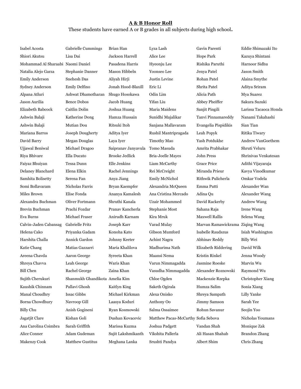#### **A & B Honor Roll**

These students have earned A or B grades in all subjects during high school**.**

| Isabel Acosta                     | Gabrielle Cummings             | Brian Han                       | Lyza Lash                           | Gavin Parenti                   | Eddie Shimazaki Ito   |
|-----------------------------------|--------------------------------|---------------------------------|-------------------------------------|---------------------------------|-----------------------|
| Shiori Akutsu                     | Lisa Dai                       | Jackson Harrell                 | Alice Lee                           | Hope Park                       | Kazuya Shintani       |
| Mohammad Al Sharaabi Naomi Daniel |                                | Pasadena Harris                 | Hyeonju Lee                         | Rishika Paruthi                 | Harnoor Sidhu         |
| Natalia Alejo Garza               | Stephanie Danner               | Mason Hibbeln                   | Yoonseo Lee                         | Jenya Patel                     | Jason Smith           |
| <b>Emily Anderson</b>             | Snehesh Das                    | Aliyah Hirji                    | Justin Levine                       | Rohan Patel                     | Alaina Smythe         |
| Sydney Anderson                   | Emily Delfino                  | Jonah Hood-Blaxill              | Eric Li                             | Shrita Patel                    | Aditya Sriram         |
| Alpana Atluri                     | Ashwat Dhamotharan             | Shugo Hosokawa                  | Odin Lim                            | Alicia Path                     | Mya Suarez            |
| Jason Aurilia                     | <b>Bence Dobos</b>             | Jacob Huang                     | Yifan Liu                           | Abbey Pheiffer                  | Sakura Suzuki         |
| Elizabeth Babcock                 | Caitlin Dolin                  | Joshua Huang                    | Maria Maidens                       | Sanjit Pingili                  | Larissa Tacaoca Honda |
| Ashwin Balaji                     | Katherine Dong                 | Hamza Hussain                   | Sunidhi Majalikar                   | Tanvi Pinnamareddy              | Nanami Takahashi      |
| Ashwin Balaji                     | Mutian Dou                     | Ritsuki Itoh                    | Sanjana Mallavaram                  | Evangelia Pispidikis            | Sian Tian             |
| Mariana Barros                    | Joseph Dougherty               | Aditya Iyer                     | Rushil Mantripragada                | Leah Popyk                      | Ritika Tiwary         |
| David Barry                       | Megan Douglas                  | Laya Iyer                       | Timothy Mao                         | Yash Potdukhe                   | Andrew VanGoethem     |
| Ujjawal Beniwal                   | Michael Dragoo                 | Saipranav Janyavula Tomo Masuda |                                     | Amrita Prabhakar                | Shruti Veluru         |
| Riya Bhivare                      | Ella Ducato                    | <b>Brooke Jedlick</b>           | Bria-Joelle Mayes                   | John Press                      | Shrinivas Venkatesan  |
| Faiyaz Bhuiyan                    | Tessa Dunn                     | Elle Jenkins                    | Liam McCarthy                       | Grace Price                     | Adithi Vijayaraja     |
| Delaney Blanchard                 | Elena Elkin                    | Rachel Jennings                 | Rei McCreight                       | Miranda Prieur                  | Kavya Vinodkumar      |
| Samhita Bolisetty                 | Serena Fan                     | Anya Jiang                      | Emily McNichol                      | Rithwik Pulicherla              | Omkar Vodela          |
| Somi Bollavaram                   | Nicholas Farris                | Bryan Kaempfer                  | Alexandria McQueen                  | Emma Putti                      | Alexander Wan         |
| Miles Brown                       | Elise Fonda                    | Ananya Kamalesh                 | Ana Cristina Mercado                | Adina Qu                        | Alexander Wang        |
| Alexandra Buchman                 | Oliver Fortmann                | Shruthi Kanala                  | Uzair Mohammed                      | David Rackerby                  | <b>Andrew Wang</b>    |
| Brevin Buchman                    | Prachi Fozdar                  | Pranav Kancherla                | Stephanie Most                      | Sahana Raja                     | Irene Wang            |
| Eva Burns                         | Michael Fraser                 | Anirudh Karnam                  | Kira Mruk                           | <b>Maxwell Rallis</b>           | Selena Wang           |
| Calvin-Jaden Cabansag             | Gabrielle Fritz                | Joseph Karr                     | Varad Mulay                         | Marvan Ramawickrama Ziqing Wang |                       |
| Helena Cako                       | Priyanka Gadam                 | Konoha Kato                     | Gibson Mumford                      | Isabelle Raudszus               | Isiah Washington      |
| Harshita Challa                   | Annick Gardon                  | Johnny Keeter                   | Achint Nagra                        | Abhinav Reddy                   | Billy Wei             |
| Katie Chang                       | Matias Gazzarri                | Maria Khalilova                 | Madhurima Nath                      | Elizabeth Riddering             | David Wilk            |
| Areena Chavda                     | Aaron George                   | Syreeta Khan                    | Maansi Nema                         | Kristin Rinkel                  | Jenna Woody           |
| Shreya Chavva                     | Leah George                    | Waris Khan                      | Varun Nimmagadda                    | Jasmine Roeske.                 | Marvin Wu             |
| Bill Chen                         | Rachel George                  | Zaina Khan                      | Vasudha Nimmagadda                  | Alexander Roznowski             | Raymond Wu            |
| Sujith Cherukuri                  | Shanmukh Ghandikota Amelia Kim |                                 | Chloe Ogden                         | Mackenzie Rzepka                | Christopher Xiang     |
| Kaushik Chinnam                   | Pallavi Ghosh                  | Kaitlyn King                    | Saketh Ogirala                      | Humza Salim                     | Sonia Xiang           |
| Manal Choudhry                    | Issac Gibbs                    | Michael Kirkman                 | Alexa Onisko                        | Shreya Sampath                  | Lilly Yanke           |
| Borna Chowdhury                   | Navroop Gill                   | Laasya Koduri                   | Anthony Oo                          | Jimmy Samson                    | Sarah Yee             |
| Billy Chu                         | Anish Gogineni                 | Ryan Kosmowski                  | Salma Ossaimee                      | Rohun Savanur                   | Seojin Yoo            |
| Jagatjit Clare                    | Kishan Goli                    | Dushan Kovacevic                | Matthew Pacas-McCarthy Sofia Sebova |                                 | Nicholas Youmans      |
| Ana Carolina Coimbra              | Sarah Griffith                 | Marissa Kuzma                   | Joshua Padgett                      | Vandan Shah                     | Monique Zak           |
| Alice Conner                      | Adam Gudeman                   | Sujit Lakshmikanth              | Vikshita Pallerla                   | Ali Hasan Shahab                | <b>Brandon Zhang</b>  |
| Makenzy Cook                      | Matthew Gustitus               | Meghana Lanka                   | Srushti Pandya                      | Albert Shim                     | Chris Zhang           |
|                                   |                                |                                 |                                     |                                 |                       |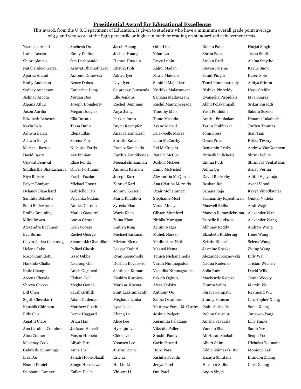### **Presidential Award for Educational Excellence**

This award, from the U.S. Department of Education, is given to students who have a minimum overall grade point average of 3.5 and who score at the 85th percentile or higher in math or reading on standardized achievement tests.

| Yasmeen Abiad           | Snehesh Das                       | Jacob Huang              | Odin Lim               | Rohan Patel           | Harjot Singh         |
|-------------------------|-----------------------------------|--------------------------|------------------------|-----------------------|----------------------|
| Isabel Acosta           | Emily Delfino                     | Joshua Huang             | Yifan Liu              | Shrita Patel          | Jason Smith          |
| Shiori Akutsu           | Om Deshpande                      | Hamza Hussain            | Bryce Lubin            | Srujan Patil          | Alaina Smythe        |
| Natalia Alejo Garza     | Ashwat Dhamotharan                | Ritsuki Itoh             | Rahul Madan            | <b>Steven Perrine</b> | Kaylie Snow          |
| Aparna Anand            | Antonio Dimovski                  | Aditya Iyer              | Maria Maidens          | Sanjit Pingili        | Karen Sole           |
| <b>Emily Anderson</b>   | <b>Bence Dobos</b>                | Laya Iyer                | Sunidhi Majalikar      | Tanvi Pinnamareddy    | Aditya Sriram        |
| Sydney Anderson         | Katherine Dong                    | Saipranav Janyavula      | Krithika Malayarasan   | Rishika Pinreddy      | Hope Steffen         |
| Jishnav Arcota          | Mutian Dou                        | Elle Jenkins             | Sanjana Mallavaram     | Evangelia Pispidikis  | Mya Suarez           |
| Alpana Atluri           | Joseph Dougherty                  | Rachel Jennings          | Rushil Mantripragada   | Akhil Polakampalli    | Srikar Sureddi       |
| Jason Aurilia           | <b>Megan Douglas</b>              | Anya Jiang               | Timothy Mao            | Yash Potdukhe         | Sakura Suzuki        |
| Elizabeth Babcock       | Ella Ducato                       | Parker Jones             | Tomo Masuda            | Amrita Prabhakar      | Nanami Takahashi     |
| Kavin Bala              | <b>Tessa Dunn</b>                 | Bryan Kaempfer           | Ayane Matsui           | Tarun Prabhakar       | Jordyn Thomas        |
| Ashwin Balaji           | Elena Elkin                       | Ananya Kamalesh          | Bria-Joelle Mayes      | <b>John Press</b>     | Sian Tian            |
| Ashwin Balaji           | Serena Fan                        | Shruthi Kanala           | Liam McCarthy          | <b>Grace Price</b>    | Ritika Tiwary        |
| Mariana Barros          | Nicholas Farris                   | Pranav Kancherla         | Rei McCreight          | Benjamin Prisby       | Andrew VanGoethem    |
| David Barry             | Avy Fimiani                       | Karthik Kandikonda       | Natalie McCue          | Rithwik Pulicherla    | Shruti Veluru        |
| Ujjawal Beniwal         | Elise Fonda                       | Meenakshi Kannan         | Joshua McLees          | Emma Putti            | Shrinivas Venkatesan |
| Siddhartha Bhattacharya | Oliver Fortmann                   | Anirudh Karnam           | Emily McNichol         | Adina Qu              | Arnav Verma          |
| Riya Bhivare            | Prachi Fozdar                     | Joseph Karr              | Alexandria McQueen     | David Rackerby        | Adithi Vijayaraja    |
| Faiyaz Bhuiyan          | Michael Fraser                    | Zahreef Kazi             | Ana Cristina Mercado   | Roshan Raj            | Avani Vinod          |
| Delaney Blanchard       | Gabrielle Fritz                   | Johnny Keeter            | Uzair Mohammed         | Sahana Raja           | Kavya Vinodkumar     |
| Samhita Bolisetty       | Priyanka Gadam                    | Maria Khalilova          | Stephanie Most         | Saamanthy Rajenthiran | Omkar Vodela         |
| Somi Bollavaram         | Annick Gardon                     | Syreeta Khan             | Varad Mulay            | <b>Maxwell Rallis</b> | Amit Wagh            |
| Emilia Breuning         | Matias Gazzarri                   | Waris Khan               | Gibson Mumford         | Marvan Ramawickrama   | Alexander Wan        |
| Miles Brown             | Aaron George                      | Zaina Khan               | Nithila Murugan        | Isabelle Raudszus     | Alexander Wang       |
| Alexandra Buchman       | Leah George                       | Kaitlyn King             | Achint Nagra           | Abhinav Reddy         | Andrew Wang          |
| Eva Burns               | Rachel George                     | Michael Kirkman          | <b>Mahek Nasser</b>    | Elizabeth Riddering   | Irene Wang           |
| Calvin-Jaden Cabansag   | Shanmukh Ghandikota Miriam Klenke |                          | Madhurima Nath         | Kristin Rinkel        | Selena Wang          |
| Helena Cako             | Pallavi Ghosh                     | Laasya Koduri            | Maansi Nema            | Jasmine Roeske        | Ziqing Wang          |
| Rocco Camilletti        | <b>Issac Gibbs</b>                | Ryan Kosmowski           | Tanish Nichanametla    | Alexander Roznowski   | Billy Wei            |
| Harshita Challa         | Navroop Gill                      | Dushan Kovacevic         | Varun Nimmagadda       | Nadiia Rudenko        | Tristan Whalen       |
| Katie Chang             | Anish Gogineni                    | Santhosh Kumar           | Vasudha Nimmagadda     | Sofia Ruiz            | David Wilk           |
| Areena Chavda           | Kishan Goli                       | Koshiro Kuroiwa          | Saketh Ogirala         | Mackenzie Rzepka      | Jenna Woody          |
| Shreya Chavva           | Megha Gondi                       | Marissa Kuzma            | Alexa Onisko           | Humza Salim           | Marvin Wu            |
| <b>Bill Chen</b>        | Sarah Griffith                    | Sujit Lakshmikanth       | Anthony Oo             | Shreya Sampath        | Raymond Wu           |
| Sujith Cherukuri        | Adam Gudeman                      | Meghana Lanka            | Salma Ossaimee         | Jimmy Samson          | Christopher Xiang    |
| Kaushik Chinnam         | <b>Matthew Gustitus</b>           | Lyza Lash                | Matthew Pacas-McCarthy | Ishita Saripalle      | Sonia Xiang          |
| <b>Billy Chu</b>        | Derek Haggard                     | Khang Le                 | Joshua Padgett         | Rohun Savanur         | Jungwoo Yang         |
| Jagatjit Clare          | Brian Han                         | Alice Lee                | Kusumita Paladugu      | Anisha Savarala       | Lilly Yanke          |
| Ana Carolina Coimbra    | Jackson Harrell                   | Hyeonju Lee              | Vikshita Pallerla      | Vandan Shah           | Sarah Yee            |
| Alice Conner            | Mason Hibbeln                     | Chloe Lee                | Srushti Pandya         | Ali Hasan Shahab      | Seojin Yoo           |
| Makenzy Cook            | Aliyah Hirji                      | Yoonseo Lee              | Gavin Parenti          | Albert Shim           | Nicholas Youmans     |
| Gabrielle Cummings      | Anna Ho                           | Justin Levine            | Hope Park              | Eddie Shimazaki Ito   | Monique Zak          |
| Lisa Dai                | Jonah Hood-Blaxill                | $\operatorname{Eric}$ Li | Rishika Paruthi        | Kazuya Shintani       | <b>Brandon Zhang</b> |

Stephanie Danner Kailen Hsieh Vincent Li Om Patel Aryan Singh

Naomi Daniel Shugo Hosokawa HaiLin Li Jenya Patel Harnoor Sidhu Chris Zhang